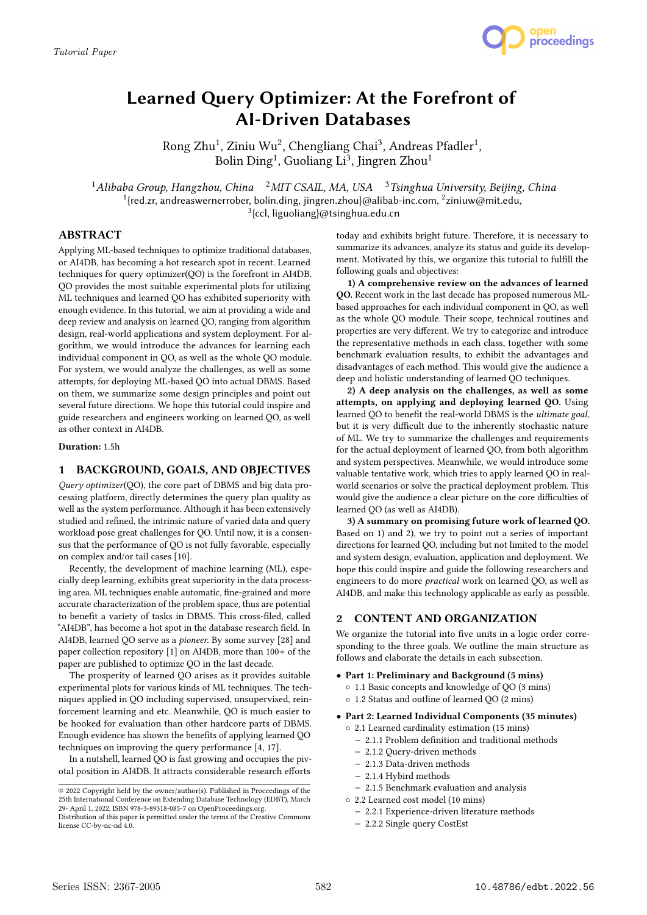

# Learned Query Optimizer: At the Forefront of AI-Driven Databases

Rong Zhu $^1$ , Ziniu Wu $^2$ , Chengliang Chai $^3$ , Andreas Pfadler $^1$ , Bolin  $\mathrm{Ding^1}$ , Guoliang Li $^3$ , Jingren Zhou $^1$ 

<sup>1</sup>Alibaba Group, Hangzhou, China <sup>2</sup>MIT CSAIL, MA, USA <sup>3</sup>Tsinghua University, Beijing, China  $^1$ {red.zr, andreaswernerrober, bolin.ding, jingren.zhou}@alibab-inc.com,  $^2$ ziniuw@mit.edu, <sup>3</sup>{ccl, liguoliang}@tsinghua.edu.cn

## ABSTRACT

Applying ML-based techniques to optimize traditional databases, or AI4DB, has becoming a hot research spot in recent. Learned techniques for query optimizer(QO) is the forefront in AI4DB. QO provides the most suitable experimental plots for utilizing ML techniques and learned QO has exhibited superiority with enough evidence. In this tutorial, we aim at providing a wide and deep review and analysis on learned QO, ranging from algorithm design, real-world applications and system deployment. For algorithm, we would introduce the advances for learning each individual component in QO, as well as the whole QO module. For system, we would analyze the challenges, as well as some attempts, for deploying ML-based QO into actual DBMS. Based on them, we summarize some design principles and point out several future directions. We hope this tutorial could inspire and guide researchers and engineers working on learned QO, as well as other context in AI4DB.

Duration: 1.5h

### 1 BACKGROUND, GOALS, AND OBJECTIVES

Query optimizer(QO), the core part of DBMS and big data processing platform, directly determines the query plan quality as well as the system performance. Although it has been extensively studied and refined, the intrinsic nature of varied data and query workload pose great challenges for QO. Until now, it is a consensus that the performance of QO is not fully favorable, especially on complex and/or tail cases [10].

Recently, the development of machine learning (ML), especially deep learning, exhibits great superiority in the data processing area. ML techniques enable automatic, fine-grained and more accurate characterization of the problem space, thus are potential to benefit a variety of tasks in DBMS. This cross-filed, called "AI4DB", has become a hot spot in the database research field. In AI4DB, learned QO serve as a pioneer. By some survey [28] and paper collection repository [1] on AI4DB, more than 100+ of the paper are published to optimize QO in the last decade.

The prosperity of learned QO arises as it provides suitable experimental plots for various kinds of ML techniques. The techniques applied in QO including supervised, unsupervised, reinforcement learning and etc. Meanwhile, QO is much easier to be hooked for evaluation than other hardcore parts of DBMS. Enough evidence has shown the benefits of applying learned QO techniques on improving the query performance [4, 17].

In a nutshell, learned QO is fast growing and occupies the pivotal position in AI4DB. It attracts considerable research efforts

today and exhibits bright future. Therefore, it is necessary to summarize its advances, analyze its status and guide its development. Motivated by this, we organize this tutorial to fulfill the following goals and objectives:

1) A comprehensive review on the advances of learned QO. Recent work in the last decade has proposed numerous MLbased approaches for each individual component in QO, as well as the whole QO module. Their scope, technical routines and properties are very different. We try to categorize and introduce the representative methods in each class, together with some benchmark evaluation results, to exhibit the advantages and disadvantages of each method. This would give the audience a deep and holistic understanding of learned QO techniques.

2) A deep analysis on the challenges, as well as some attempts, on applying and deploying learned QO. Using learned QO to benefit the real-world DBMS is the ultimate goal, but it is very difficult due to the inherently stochastic nature of ML. We try to summarize the challenges and requirements for the actual deployment of learned QO, from both algorithm and system perspectives. Meanwhile, we would introduce some valuable tentative work, which tries to apply learned QO in realworld scenarios or solve the practical deployment problem. This would give the audience a clear picture on the core difficulties of learned QO (as well as AI4DB).

3) A summary on promising future work of learned QO. Based on 1) and 2), we try to point out a series of important directions for learned QO, including but not limited to the model and system design, evaluation, application and deployment. We hope this could inspire and guide the following researchers and engineers to do more practical work on learned QO, as well as AI4DB, and make this technology applicable as early as possible.

# 2 CONTENT AND ORGANIZATION

We organize the tutorial into five units in a logic order corresponding to the three goals. We outline the main structure as follows and elaborate the details in each subsection.

- Part 1: Preliminary and Background (5 mins)
	- 1.1 Basic concepts and knowledge of QO (3 mins)
	- 1.2 Status and outline of learned QO (2 mins)
- Part 2: Learned Individual Components (35 minutes)
	- 2.1 Learned cardinality estimation (15 mins)
		- − 2.1.1 Problem definition and traditional methods
		- − 2.1.2 Query-driven methods
		- − 2.1.3 Data-driven methods
		- − 2.1.4 Hybird methods
		- − 2.1.5 Benchmark evaluation and analysis
	- 2.2 Learned cost model (10 mins)
	- − 2.2.1 Experience-driven literature methods
	- − 2.2.2 Single query CostEst

<sup>©</sup> 2022 Copyright held by the owner/author(s). Published in Proceedings of the 25th International Conference on Extending Database Technology (EDBT), March 29- April 1, 2022, ISBN 978-3-89318-085-7 on OpenProceedings.org.

Distribution of this paper is permitted under the terms of the Creative Commons license CC-by-nc-nd 4.0.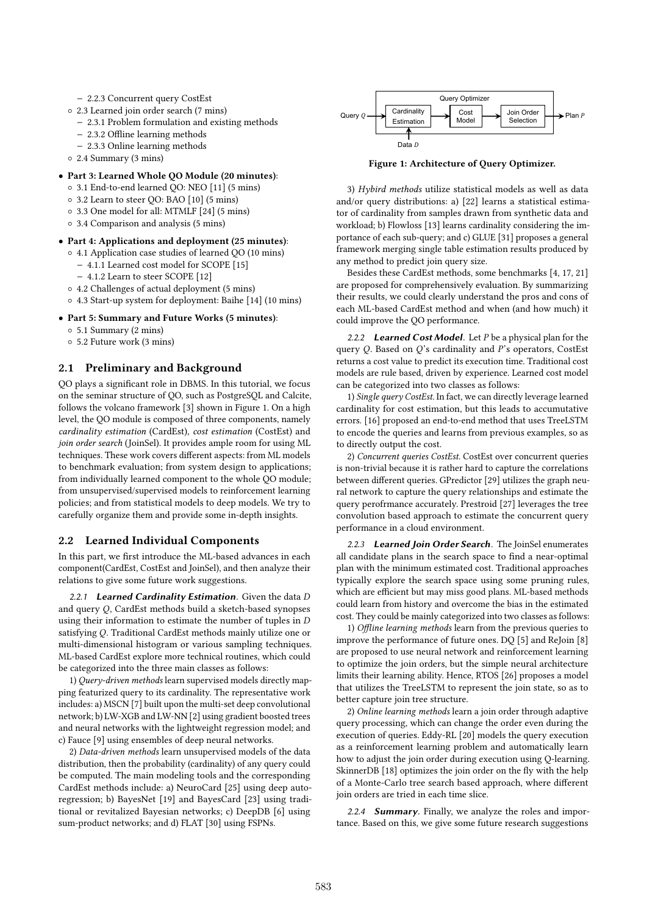- − 2.2.3 Concurrent query CostEst
- 2.3 Learned join order search (7 mins)
	- − 2.3.1 Problem formulation and existing methods
	- − 2.3.2 Offline learning methods
	- − 2.3.3 Online learning methods
- 2.4 Summary (3 mins)
- Part 3: Learned Whole QO Module (20 minutes):
	- 3.1 End-to-end learned QO: NEO [11] (5 mins)
	- 3.2 Learn to steer QO: BAO [10] (5 mins)
	- 3.3 One model for all: MTMLF [24] (5 mins)
	- 3.4 Comparison and analysis (5 mins)
- Part 4: Applications and deployment (25 minutes): ◦ 4.1 Application case studies of learned QO (10 mins)
	- − 4.1.1 Learned cost model for SCOPE [15]
		- − 4.1.2 Learn to steer SCOPE [12]
	- 4.2 Challenges of actual deployment (5 mins)
	- 4.3 Start-up system for deployment: Baihe [14] (10 mins)
- Part 5: Summary and Future Works (5 minutes):
	- 5.1 Summary (2 mins)
	- 5.2 Future work (3 mins)

## 2.1 Preliminary and Background

QO plays a significant role in DBMS. In this tutorial, we focus on the seminar structure of QO, such as PostgreSQL and Calcite, follows the volcano framework [3] shown in Figure 1. On a high level, the QO module is composed of three components, namely cardinality estimation (CardEst), cost estimation (CostEst) and join order search (JoinSel). It provides ample room for using ML techniques. These work covers different aspects: from ML models to benchmark evaluation; from system design to applications; from individually learned component to the whole QO module; from unsupervised/supervised models to reinforcement learning policies; and from statistical models to deep models. We try to carefully organize them and provide some in-depth insights.

#### 2.2 Learned Individual Components

In this part, we first introduce the ML-based advances in each component(CardEst, CostEst and JoinSel), and then analyze their relations to give some future work suggestions.

2.2.1 Learned Cardinality Estimation. Given the data D and query Q, CardEst methods build a sketch-based synopses using their information to estimate the number of tuples in D satisfying Q. Traditional CardEst methods mainly utilize one or multi-dimensional histogram or various sampling techniques. ML-based CardEst explore more technical routines, which could be categorized into the three main classes as follows:

1) Query-driven methods learn supervised models directly mapping featurized query to its cardinality. The representative work includes: a) MSCN [7] built upon the multi-set deep convolutional network; b) LW-XGB and LW-NN [2] using gradient boosted trees and neural networks with the lightweight regression model; and c) Fauce [9] using ensembles of deep neural networks.

2) Data-driven methods learn unsupervised models of the data distribution, then the probability (cardinality) of any query could be computed. The main modeling tools and the corresponding CardEst methods include: a) NeuroCard [25] using deep autoregression; b) BayesNet [19] and BayesCard [23] using traditional or revitalized Bayesian networks; c) DeepDB [6] using sum-product networks; and d) FLAT [30] using FSPNs.



Figure 1: Architecture of Query Optimizer.

3) Hybird methods utilize statistical models as well as data and/or query distributions: a) [22] learns a statistical estimator of cardinality from samples drawn from synthetic data and workload; b) Flowloss [13] learns cardinality considering the importance of each sub-query; and c) GLUE [31] proposes a general framework merging single table estimation results produced by any method to predict join query size.

Besides these CardEst methods, some benchmarks [4, 17, 21] are proposed for comprehensively evaluation. By summarizing their results, we could clearly understand the pros and cons of each ML-based CardEst method and when (and how much) it could improve the QO performance.

2.2.2 Learned Cost Model. Let  $P$  be a physical plan for the query  $Q$ . Based on  $Q$ 's cardinality and  $P$ 's operators, CostEst returns a cost value to predict its execution time. Traditional cost models are rule based, driven by experience. Learned cost model can be categorized into two classes as follows:

1) Single query CostEst. In fact, we can directly leverage learned cardinality for cost estimation, but this leads to accumutative errors. [16] proposed an end-to-end method that uses TreeLSTM to encode the queries and learns from previous examples, so as to directly output the cost.

2) Concurrent queries CostEst. CostEst over concurrent queries is non-trivial because it is rather hard to capture the correlations between different queries. GPredictor [29] utilizes the graph neural network to capture the query relationships and estimate the query perofrmance accurately. Prestroid [27] leverages the tree convolution based approach to estimate the concurrent query performance in a cloud environment.

2.2.3 Learned Join Order Search. The JoinSel enumerates all candidate plans in the search space to find a near-optimal plan with the minimum estimated cost. Traditional approaches typically explore the search space using some pruning rules, which are efficient but may miss good plans. ML-based methods could learn from history and overcome the bias in the estimated cost. They could be mainly categorized into two classes as follows:

1) Offline learning methods learn from the previous queries to improve the performance of future ones. DQ [5] and ReJoin [8] are proposed to use neural network and reinforcement learning to optimize the join orders, but the simple neural architecture limits their learning ability. Hence, RTOS [26] proposes a model that utilizes the TreeLSTM to represent the join state, so as to better capture join tree structure.

2) Online learning methods learn a join order through adaptive query processing, which can change the order even during the execution of queries. Eddy-RL [20] models the query execution as a reinforcement learning problem and automatically learn how to adjust the join order during execution using Q-learning. SkinnerDB [18] optimizes the join order on the fly with the help of a Monte-Carlo tree search based approach, where different join orders are tried in each time slice.

2.2.4 **Summary**. Finally, we analyze the roles and importance. Based on this, we give some future research suggestions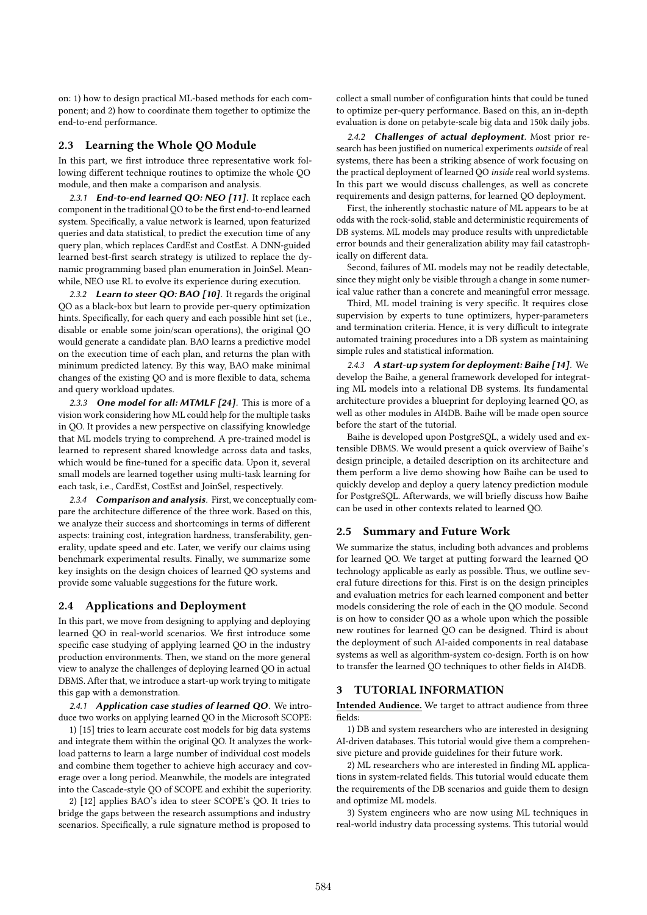on: 1) how to design practical ML-based methods for each component; and 2) how to coordinate them together to optimize the end-to-end performance.

#### 2.3 Learning the Whole QO Module

In this part, we first introduce three representative work following different technique routines to optimize the whole QO module, and then make a comparison and analysis.

2.3.1 End-to-end learned QO: NEO [11]. It replace each component in the traditional QO to be the first end-to-end learned system. Specifically, a value network is learned, upon featurized queries and data statistical, to predict the execution time of any query plan, which replaces CardEst and CostEst. A DNN-guided learned best-first search strategy is utilized to replace the dynamic programming based plan enumeration in JoinSel. Meanwhile, NEO use RL to evolve its experience during execution.

2.3.2 Learn to steer QO: BAO [10]. It regards the original QO as a black-box but learn to provide per-query optimization hints. Specifically, for each query and each possible hint set (i.e., disable or enable some join/scan operations), the original QO would generate a candidate plan. BAO learns a predictive model on the execution time of each plan, and returns the plan with minimum predicted latency. By this way, BAO make minimal changes of the existing QO and is more flexible to data, schema and query workload updates.

2.3.3 One model for all: MTMLF [24]. This is more of a vision work considering how ML could help for the multiple tasks in QO. It provides a new perspective on classifying knowledge that ML models trying to comprehend. A pre-trained model is learned to represent shared knowledge across data and tasks, which would be fine-tuned for a specific data. Upon it, several small models are learned together using multi-task learning for each task, i.e., CardEst, CostEst and JoinSel, respectively.

2.3.4 Comparison and analysis. First, we conceptually compare the architecture difference of the three work. Based on this, we analyze their success and shortcomings in terms of different aspects: training cost, integration hardness, transferability, generality, update speed and etc. Later, we verify our claims using benchmark experimental results. Finally, we summarize some key insights on the design choices of learned QO systems and provide some valuable suggestions for the future work.

#### 2.4 Applications and Deployment

In this part, we move from designing to applying and deploying learned QO in real-world scenarios. We first introduce some specific case studying of applying learned QO in the industry production environments. Then, we stand on the more general view to analyze the challenges of deploying learned QO in actual DBMS. After that, we introduce a start-up work trying to mitigate this gap with a demonstration.

2.4.1 Application case studies of learned QO. We introduce two works on applying learned QO in the Microsoft SCOPE:

1) [15] tries to learn accurate cost models for big data systems and integrate them within the original QO. It analyzes the workload patterns to learn a large number of individual cost models and combine them together to achieve high accuracy and coverage over a long period. Meanwhile, the models are integrated into the Cascade-style QO of SCOPE and exhibit the superiority.

2) [12] applies BAO's idea to steer SCOPE's QO. It tries to bridge the gaps between the research assumptions and industry scenarios. Specifically, a rule signature method is proposed to

collect a small number of configuration hints that could be tuned to optimize per-query performance. Based on this, an in-depth evaluation is done on petabyte-scale big data and 150k daily jobs.

2.4.2 Challenges of actual deployment. Most prior research has been justified on numerical experiments outside of real systems, there has been a striking absence of work focusing on the practical deployment of learned QO inside real world systems. In this part we would discuss challenges, as well as concrete requirements and design patterns, for learned QO deployment.

First, the inherently stochastic nature of ML appears to be at odds with the rock-solid, stable and deterministic requirements of DB systems. ML models may produce results with unpredictable error bounds and their generalization ability may fail catastrophically on different data.

Second, failures of ML models may not be readily detectable, since they might only be visible through a change in some numerical value rather than a concrete and meaningful error message.

Third, ML model training is very specific. It requires close supervision by experts to tune optimizers, hyper-parameters and termination criteria. Hence, it is very difficult to integrate automated training procedures into a DB system as maintaining simple rules and statistical information.

2.4.3 A start-up system for deployment: Baihe [14]. We develop the Baihe, a general framework developed for integrating ML models into a relational DB systems. Its fundamental architecture provides a blueprint for deploying learned QO, as well as other modules in AI4DB. Baihe will be made open source before the start of the tutorial.

Baihe is developed upon PostgreSQL, a widely used and extensible DBMS. We would present a quick overview of Baihe's design principle, a detailed description on its architecture and them perform a live demo showing how Baihe can be used to quickly develop and deploy a query latency prediction module for PostgreSQL. Afterwards, we will briefly discuss how Baihe can be used in other contexts related to learned QO.

#### 2.5 Summary and Future Work

We summarize the status, including both advances and problems for learned QO. We target at putting forward the learned QO technology applicable as early as possible. Thus, we outline several future directions for this. First is on the design principles and evaluation metrics for each learned component and better models considering the role of each in the QO module. Second is on how to consider QO as a whole upon which the possible new routines for learned QO can be designed. Third is about the deployment of such AI-aided components in real database systems as well as algorithm-system co-design. Forth is on how to transfer the learned QO techniques to other fields in AI4DB.

## 3 TUTORIAL INFORMATION

Intended Audience. We target to attract audience from three fields:

1) DB and system researchers who are interested in designing AI-driven databases. This tutorial would give them a comprehensive picture and provide guidelines for their future work.

2) ML researchers who are interested in finding ML applications in system-related fields. This tutorial would educate them the requirements of the DB scenarios and guide them to design and optimize ML models.

3) System engineers who are now using ML techniques in real-world industry data processing systems. This tutorial would